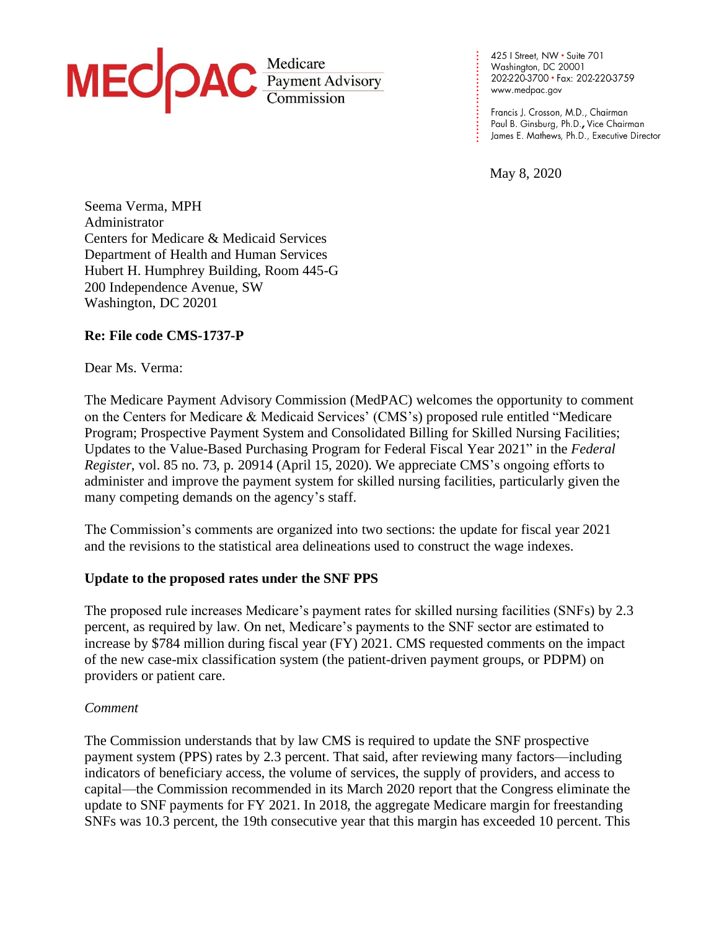

425 | Street, NW • Suite 701<br>Washington, DC 20001 202-220-3700 · Fax: 202-220-3759

Paul B. Ginsburg, Ph.D., Vice Chairman James E. Mathews, Ph.D., Executive Director

May 8, 2020

**. . . . . . . . . . . . . . . . . . . . . . . . . .**

Seema Verma, MPH Administrator Centers for Medicare & Medicaid Services Department of Health and Human Services Hubert H. Humphrey Building, Room 445-G 200 Independence Avenue, SW Washington, DC 20201

## **Re: File code CMS-1737-P**

Dear Ms. Verma:

The Medicare Payment Advisory Commission (MedPAC) welcomes the opportunity to comment on the Centers for Medicare & Medicaid Services' (CMS's) proposed rule entitled "Medicare Program; Prospective Payment System and Consolidated Billing for Skilled Nursing Facilities; Updates to the Value-Based Purchasing Program for Federal Fiscal Year 2021" in the *Federal Register*, vol. 85 no. 73, p. 20914 (April 15, 2020). We appreciate CMS's ongoing efforts to administer and improve the payment system for skilled nursing facilities, particularly given the many competing demands on the agency's staff.

The Commission's comments are organized into two sections: the update for fiscal year 2021 and the revisions to the statistical area delineations used to construct the wage indexes.

### **Update to the proposed rates under the SNF PPS**

The proposed rule increases Medicare's payment rates for skilled nursing facilities (SNFs) by 2.3 percent, as required by law. On net, Medicare's payments to the SNF sector are estimated to increase by \$784 million during fiscal year (FY) 2021. CMS requested comments on the impact of the new case-mix classification system (the patient-driven payment groups, or PDPM) on providers or patient care.

#### *Comment*

The Commission understands that by law CMS is required to update the SNF prospective payment system (PPS) rates by 2.3 percent. That said, after reviewing many factors—including indicators of beneficiary access, the volume of services, the supply of providers, and access to capital—the Commission recommended in its March 2020 report that the Congress eliminate the update to SNF payments for FY 2021. In 2018, the aggregate Medicare margin for freestanding SNFs was 10.3 percent, the 19th consecutive year that this margin has exceeded 10 percent. This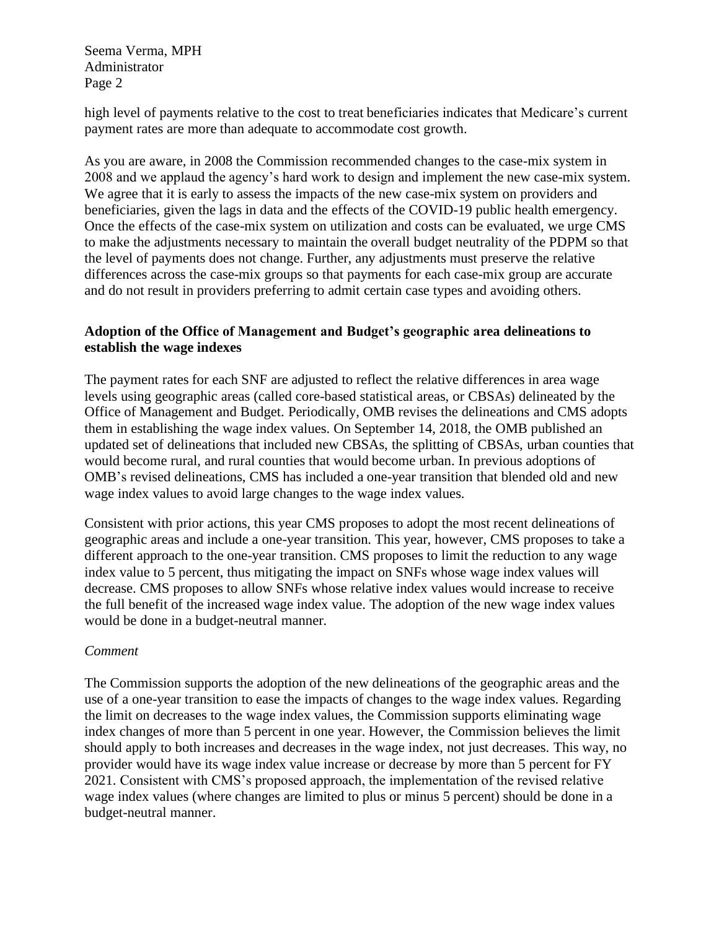Seema Verma, MPH Administrator Page 2

high level of payments relative to the cost to treat beneficiaries indicates that Medicare's current payment rates are more than adequate to accommodate cost growth.

As you are aware, in 2008 the Commission recommended changes to the case-mix system in 2008 and we applaud the agency's hard work to design and implement the new case-mix system. We agree that it is early to assess the impacts of the new case-mix system on providers and beneficiaries, given the lags in data and the effects of the COVID-19 public health emergency. Once the effects of the case-mix system on utilization and costs can be evaluated, we urge CMS to make the adjustments necessary to maintain the overall budget neutrality of the PDPM so that the level of payments does not change. Further, any adjustments must preserve the relative differences across the case-mix groups so that payments for each case-mix group are accurate and do not result in providers preferring to admit certain case types and avoiding others.

## **Adoption of the Office of Management and Budget's geographic area delineations to establish the wage indexes**

The payment rates for each SNF are adjusted to reflect the relative differences in area wage levels using geographic areas (called core-based statistical areas, or CBSAs) delineated by the Office of Management and Budget. Periodically, OMB revises the delineations and CMS adopts them in establishing the wage index values. On September 14, 2018, the OMB published an updated set of delineations that included new CBSAs, the splitting of CBSAs, urban counties that would become rural, and rural counties that would become urban. In previous adoptions of OMB's revised delineations, CMS has included a one-year transition that blended old and new wage index values to avoid large changes to the wage index values.

Consistent with prior actions, this year CMS proposes to adopt the most recent delineations of geographic areas and include a one-year transition. This year, however, CMS proposes to take a different approach to the one-year transition. CMS proposes to limit the reduction to any wage index value to 5 percent, thus mitigating the impact on SNFs whose wage index values will decrease. CMS proposes to allow SNFs whose relative index values would increase to receive the full benefit of the increased wage index value. The adoption of the new wage index values would be done in a budget-neutral manner.

# *Comment*

The Commission supports the adoption of the new delineations of the geographic areas and the use of a one-year transition to ease the impacts of changes to the wage index values. Regarding the limit on decreases to the wage index values, the Commission supports eliminating wage index changes of more than 5 percent in one year. However, the Commission believes the limit should apply to both increases and decreases in the wage index, not just decreases. This way, no provider would have its wage index value increase or decrease by more than 5 percent for FY 2021. Consistent with CMS's proposed approach, the implementation of the revised relative wage index values (where changes are limited to plus or minus 5 percent) should be done in a budget-neutral manner.